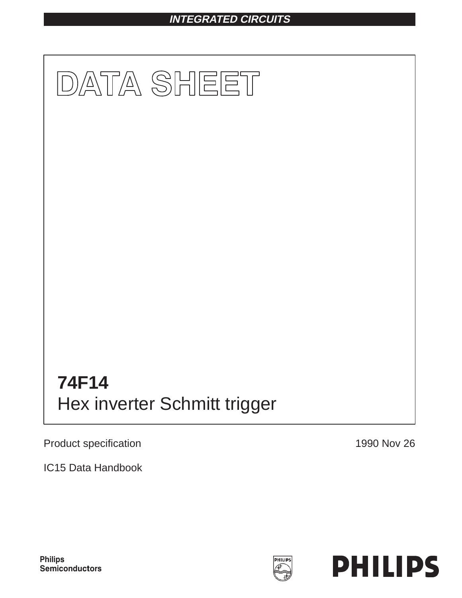# **INTEGRATED CIRCUITS**



Product specification

1990 Nov 26

IC15 Data Handbook



**PHILIPS** 

**Philips** Semiconductors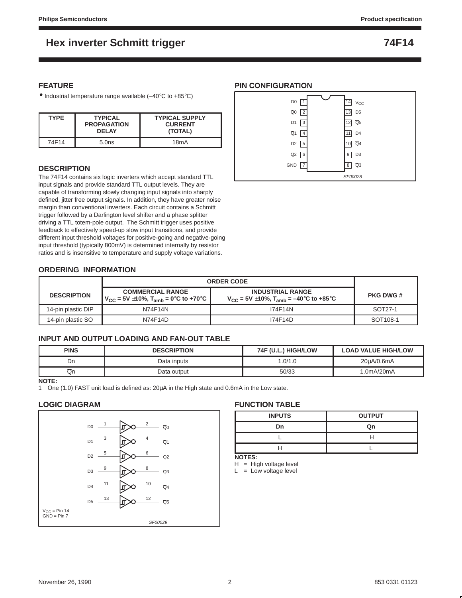### **FEATURE**

• Industrial temperature range available (–40°C to +85°C)

| <b>TYPE</b> | <b>TYPICAL</b><br><b>PROPAGATION</b><br><b>DEI AY</b> | <b>TYPICAL SUPPLY</b><br><b>CURRENT</b><br>(TOTAL) |
|-------------|-------------------------------------------------------|----------------------------------------------------|
| 74F14       | 5.0ns                                                 | 18 <sub>m</sub> A                                  |

### **DESCRIPTION**

The 74F14 contains six logic inverters which accept standard TTL input signals and provide standard TTL output levels. They are capable of transforming slowly changing input signals into sharply defined, jitter free output signals. In addition, they have greater noise margin than conventional inverters. Each circuit contains a Schmitt trigger followed by a Darlington level shifter and a phase splitter driving a TTL totem-pole output. The Schmitt trigger uses positive feedback to effectively speed-up slow input transitions, and provide different input threshold voltages for positive-going and negative-going input threshold (typically 800mV) is determined internally by resistor ratios and is insensitive to temperature and supply voltage variations.

### **PIN CONFIGURATION**



### **ORDERING INFORMATION**

|                    | <b>ORDER CODE</b>                                                                       |                                                                                              |                  |
|--------------------|-----------------------------------------------------------------------------------------|----------------------------------------------------------------------------------------------|------------------|
| <b>DESCRIPTION</b> | <b>COMMERCIAL RANGE</b><br>  V <sub>CC</sub> = 5V ±10%, T <sub>amb</sub> = 0°C to +70°C | <b>INDUSTRIAL RANGE</b><br>$V_{\text{CC}}$ = 5V $\pm$ 10%, T <sub>amb</sub> = –40°C to +85°C | <b>PKG DWG #</b> |
| 14-pin plastic DIP | N74F14N                                                                                 | 174F14N                                                                                      | SOT27-1          |
| 14-pin plastic SO  | N74F14D                                                                                 | 174F14D                                                                                      | SOT108-1         |

### **INPUT AND OUTPUT LOADING AND FAN-OUT TABLE**

| <b>PINS</b> | <b>DESCRIPTION</b> | 74F (U.L.) HIGH/LOW | <b>LOAD VALUE HIGH/LOW</b> |
|-------------|--------------------|---------------------|----------------------------|
| Dn          | Data inputs        | .0/1.0              | 20uA/0.6mA                 |
| Qn          | Data output        | 50/33               | 1.0mA/20mA                 |

### **NOTE:**

1 One (1.0) FAST unit load is defined as:  $20\mu A$  in the High state and 0.6mA in the Low state.

### **LOGIC DIAGRAM**



### **FUNCTION TABLE**

| <b>INPUTS</b> | <b>OUTPUT</b> |
|---------------|---------------|
| Dn            | Ōn            |
|               |               |
|               |               |

**NOTES:**

 $H = High voltage level$ 

 $L = Low voltage level$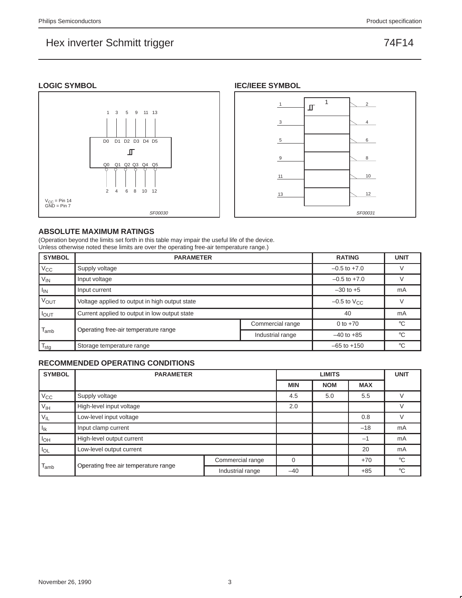### **LOGIC SYMBOL**





### **ABSOLUTE MAXIMUM RATINGS**

(Operation beyond the limits set forth in this table may impair the useful life of the device. Unless otherwise noted these limits are over the operating free-air temperature range.)

| <b>SYMBOL</b>    | <b>PARAMETER</b>                               | <b>RATING</b>             | <b>UNIT</b>      |              |
|------------------|------------------------------------------------|---------------------------|------------------|--------------|
| $V_{\rm CC}$     | Supply voltage                                 |                           | $-0.5$ to $+7.0$ |              |
| $V_{IN}$         | Input voltage                                  | $-0.5$ to $+7.0$          |                  |              |
| $I_{IN}$         | Input current                                  | $-30$ to $+5$             | mA               |              |
| <b>VOUT</b>      | Voltage applied to output in high output state | $-0.5$ to $V_{\text{CC}}$ |                  |              |
| $I_{\text{OUT}}$ | Current applied to output in low output state  |                           | 40               | mA           |
|                  |                                                | Commercial range          | 0 to $+70$       | $^{\circ}$ C |
| l <sub>amb</sub> | Operating free-air temperature range           | $-40$ to $+85$            | $^{\circ}$ C     |              |
| $I_{\text{stq}}$ | Storage temperature range                      | $-65$ to $+150$           | °C               |              |

### **RECOMMENDED OPERATING CONDITIONS**

| <b>SYMBOL</b>    | <b>PARAMETER</b>                     |                  | <b>UNIT</b> |            |            |             |
|------------------|--------------------------------------|------------------|-------------|------------|------------|-------------|
|                  |                                      |                  | <b>MIN</b>  | <b>NOM</b> | <b>MAX</b> |             |
| $V_{\rm CC}$     | Supply voltage                       |                  | 4.5         | 5.0        | 5.5        |             |
| $V_{\text{IH}}$  | High-level input voltage             | 2.0              |             |            |            |             |
| $V_{IL}$         | Low-level input voltage              |                  |             | 0.8        |            |             |
| $I_{lk}$         | Input clamp current                  |                  |             | $-18$      | mA         |             |
| $I_{OH}$         | High-level output current            |                  |             |            | $-1$       | mA          |
| $I_{OL}$         | Low-level output current             |                  |             | 20         | mA         |             |
|                  |                                      | Commercial range | $\Omega$    |            | $+70$      | $^{\circ}C$ |
| l <sub>amb</sub> | Operating free air temperature range | Industrial range | $-40$       |            | $+85$      | $^{\circ}C$ |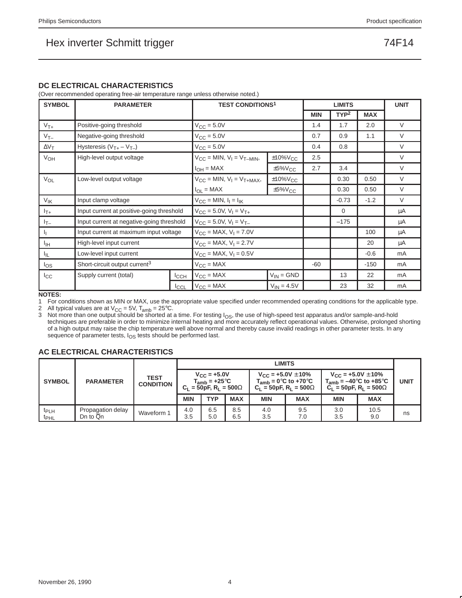### **DC ELECTRICAL CHARACTERISTICS**

(Over recommended operating free-air temperature range unless otherwise noted.)

| <b>SYMBOL</b>     | <b>PARAMETER</b>                          |                                       | <b>TEST CONDITIONS<sup>1</sup></b> |                           |             | <b>LIMITS</b>    |            | <b>UNIT</b> |
|-------------------|-------------------------------------------|---------------------------------------|------------------------------------|---------------------------|-------------|------------------|------------|-------------|
|                   |                                           |                                       |                                    |                           | <b>MIN</b>  | TYP <sup>2</sup> | <b>MAX</b> |             |
| $V_{T+}$          | Positive-going threshold                  |                                       | $V_{\text{CC}} = 5.0V$             |                           | 1.4         | 1.7              | 2.0        | $\vee$      |
| $V_{T-}$          | Negative-going threshold                  |                                       | $V_{CC} = 5.0V$                    |                           | 0.7         | 0.9              | 1.1        | $\vee$      |
| $\Delta V_T$      | Hysteresis $(V_{T+} - V_{T-})$            |                                       | $V_{CC} = 5.0V$                    |                           | 0.4         | 0.8              |            | $\vee$      |
| V <sub>OH</sub>   | High-level output voltage                 |                                       | $V_{CC} = MIN, V_1 = V_{T-MIN}$    | $±10\%V_{CC}$             | 2.5         |                  |            | $\vee$      |
|                   |                                           |                                       | $I_{OH} = MAX$                     | $\pm 5\%$ V <sub>CC</sub> | 2.7         | 3.4              |            | $\vee$      |
| $V_{OL}$          | Low-level output voltage                  | $V_{CC}$ = MIN, $V_1$ = $V_{T+MAX}$ , | $±10\%V_{CC}$                      |                           | 0.30        | 0.50             | $\vee$     |             |
|                   |                                           | $I_{OL} = MAX$                        | $\pm 5\%$ V <sub>CC</sub>          |                           | 0.30        | 0.50             | $\vee$     |             |
| $V_{\mathsf{IK}}$ | Input clamp voltage                       |                                       | $V_{CC} = MIN, I_1 = I_{IK}$       |                           | $-0.73$     | $-1.2$           | $\vee$     |             |
| $I_{T+}$          | Input current at positive-going threshold |                                       | $V_{CC}$ = 5.0V, $V_1 = V_{T+}$    |                           | $\mathbf 0$ |                  | μA         |             |
| $l_{T-}$          | Input current at negative-going threshold |                                       | $V_{CC} = 5.0V, V_1 = V_{T-}$      |                           |             | $-175$           |            | μA          |
| Ч.                | Input current at maximum input voltage    |                                       | $V_{CC}$ = MAX, $V_1$ = 7.0V       |                           |             |                  | 100        | μA          |
| ŀщ                | High-level input current                  |                                       | $V_{CC}$ = MAX, $V_1$ = 2.7V       |                           |             |                  | 20         | μA          |
| ЧL.               | Low-level input current                   | $V_{CC}$ = MAX, $V_1$ = 0.5V          |                                    |                           |             | $-0.6$           | mA         |             |
| $I_{OS}$          | Short-circuit output current <sup>3</sup> | $V_{CC} = MAX$                        |                                    | -60                       |             | $-150$           | mA         |             |
| ICC               | Supply current (total)                    | <b>I</b> CCH                          | $V_{CC} = MAX$                     | $V_{IN} = GND$            |             | 13               | 22         | mA          |
|                   |                                           | ICCL                                  | $V_{CC} = MAX$                     | $V_{IN} = 4.5V$           |             | 23               | 32         | mA          |

**NOTES:**

1 For conditions shown as MIN or MAX, use the appropriate value specified under recommended operating conditions for the applicable type.

2 All typical values are at  $V_{CC} = 5V$ ,  $T_{amb} = 25^{\circ}C$ .

3 Not more than one output should be shorted at a time. For testing  $I<sub>OS</sub>$ , the use of high-speed test apparatus and/or sample-and-hold<br>techniques are preferable in order to minimize internal heating and more accurate of a high output may raise the chip temperature well above normal and thereby cause invalid readings in other parameter tests. In any sequence of parameter tests, I<sub>OS</sub> tests should be performed last.

### **AC ELECTRICAL CHARACTERISTICS**

|                                      |                               |                          |            | LIMITS                                                                               |            |            |                                                                                              |            |                                                                                                  |    |
|--------------------------------------|-------------------------------|--------------------------|------------|--------------------------------------------------------------------------------------|------------|------------|----------------------------------------------------------------------------------------------|------------|--------------------------------------------------------------------------------------------------|----|
| <b>SYMBOL</b>                        | <b>PARAMETER</b>              | TEST<br><b>CONDITION</b> |            | $V_{\text{CC}} = +5.0V$<br>$T_{amb} = +25^{\circ}C$<br>$C_1 = 50pF, R_1 = 500\Omega$ |            |            | $V_{\rm CC}$ = +5.0V $\pm$ 10%<br>$T_{amb} = 0$ °C to +70°C<br>$C_1 = 50pF, R_1 = 500\Omega$ |            | $V_{\text{CC}}$ = +5.0V $\pm$ 10%<br>$T_{amb}$ = -40°C to +85°C<br>$C_1 = 50pF, R_1 = 500\Omega$ |    |
|                                      |                               |                          | <b>MIN</b> | <b>TYP</b>                                                                           | <b>MAX</b> | <b>MIN</b> | <b>MAX</b>                                                                                   | <b>MIN</b> | <b>MAX</b>                                                                                       |    |
| <sup>t</sup> PLH<br>t <sub>PHL</sub> | Propagation delay<br>Dn to Qn | Waveform 1               | 4.0<br>3.5 | 6.5<br>5.0                                                                           | 8.5<br>6.5 | 4.0<br>3.5 | 9.5<br>7.0                                                                                   | 3.0<br>3.5 | 10.5<br>9.0                                                                                      | ns |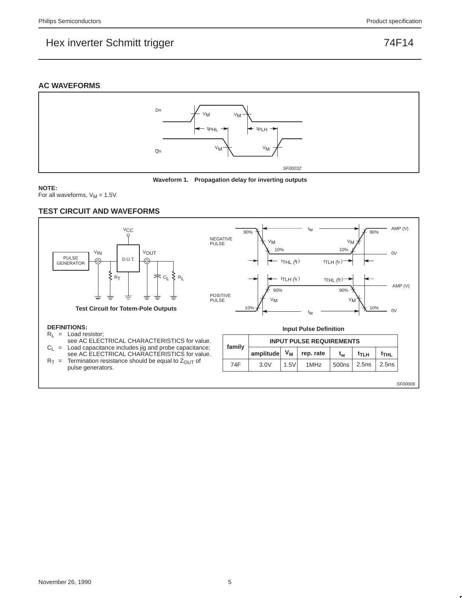### **AC WAVEFORMS**





**NOTE:**

For all waveforms,  $V_M = 1.5V$ .

### **TEST CIRCUIT AND WAVEFORMS**



SF00006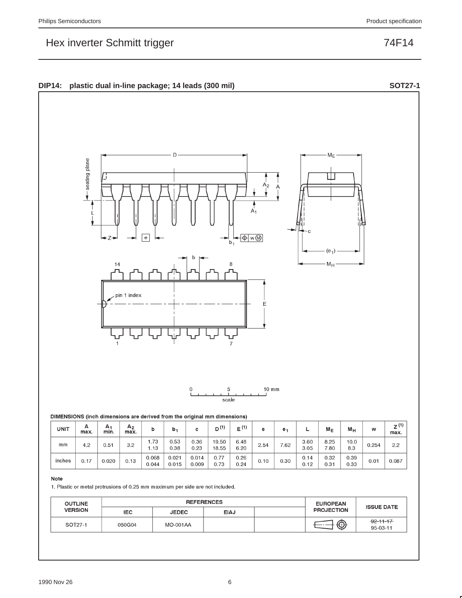



| <b>UNIT</b> | А<br>max. | $\mathsf{A}$<br>min. | A <sub>2</sub><br>max. |                | b <sub>1</sub> | с              | 74<br>D۱       | $E^{(1)}$    | е    | е.   |              | $M_{E}$      | $M_H$        | w     | $\overline{14}$<br>$Z^{(1)}$<br>max. |
|-------------|-----------|----------------------|------------------------|----------------|----------------|----------------|----------------|--------------|------|------|--------------|--------------|--------------|-------|--------------------------------------|
| mm          | 4.2       | 0.51                 | 3.2                    | 1.73<br>1.13   | 0.53<br>0.38   | 0.36<br>0.23   | 19.50<br>18.55 | 6.48<br>6.20 | 2.54 | 7.62 | 3.60<br>3.05 | 8.25<br>7.80 | 10.0<br>8.3  | 0.254 | 2.2                                  |
| inches      | 0.17      | 0.020                | 0.13                   | 0.068<br>0.044 | 0.021<br>0.015 | 0.014<br>0.009 | 0.77<br>0.73   | 0.26<br>0.24 | 0.10 | 0.30 | 0.14<br>0.12 | 0.32<br>0.31 | 0.39<br>0.33 | 0.01  | 0.087                                |

#### Note

1. Plastic or metal protrusions of 0.25 mm maximum per side are not included.

| <b>OUTLINE</b> |        |                 | <b>REFERENCES</b> | <b>EUROPEAN</b>   | <b>ISSUE DATE</b>           |  |
|----------------|--------|-----------------|-------------------|-------------------|-----------------------------|--|
| <b>VERSION</b> | IEC.   | <b>JEDEC</b>    | <b>EIAJ</b>       | <b>PROJECTION</b> |                             |  |
| SOT27-1        | 050G04 | <b>MO-001AA</b> |                   | ⊕                 | $-92 - 11 - 17$<br>95-03-11 |  |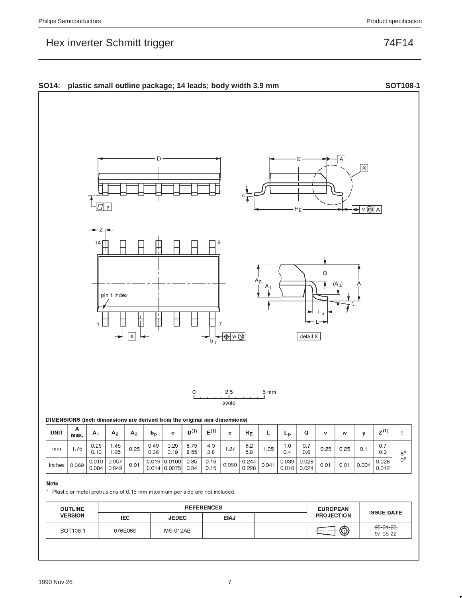